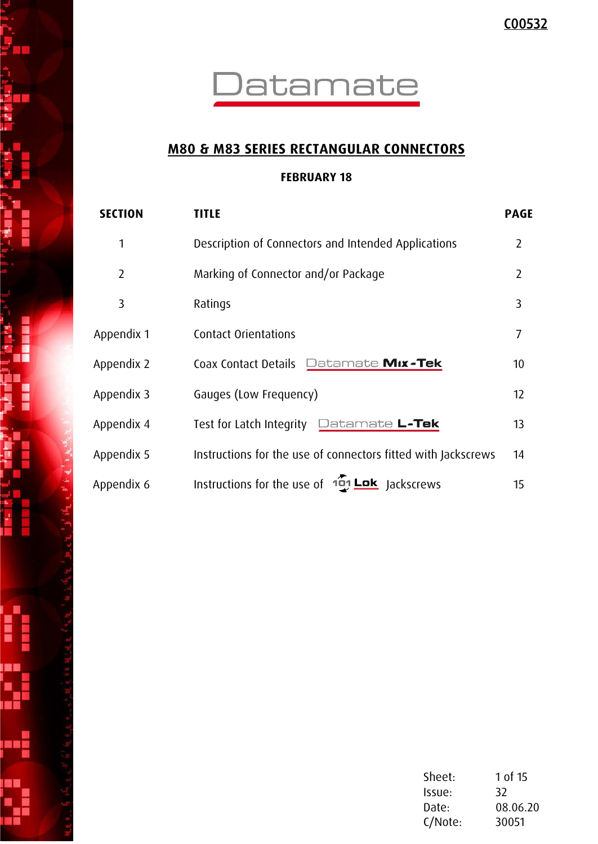

## **M80 & M83 SERIES RECTANGULAR CONNECTORS**

### **FEBRUARY 18**

| <b>SECTION</b> | <b>TITLE</b>                                                  | <b>PAGE</b>    |
|----------------|---------------------------------------------------------------|----------------|
| 1              | Description of Connectors and Intended Applications           | $\overline{2}$ |
| $\overline{2}$ | Marking of Connector and/or Package                           | $\overline{2}$ |
| 3              | Ratings                                                       | 3              |
| Appendix 1     | <b>Contact Orientations</b>                                   | $\overline{7}$ |
| Appendix 2     | Datamate Mix-Tek<br>Coax Contact Details                      | 10             |
| Appendix 3     | Gauges (Low Frequency)                                        | 12             |
| Appendix 4     | Datamate <b>L-Tek</b><br>Test for Latch Integrity             | 13             |
| Appendix 5     | Instructions for the use of connectors fitted with Jackscrews | 14             |
| Appendix 6     | Instructions for the use of 101 Lok Jackscrews                | 15             |

زمبر

| Sheet:  | 1 of 15  |
|---------|----------|
| Issue:  | 32       |
| Date:   | 08.06.20 |
| C/Note: | 30051    |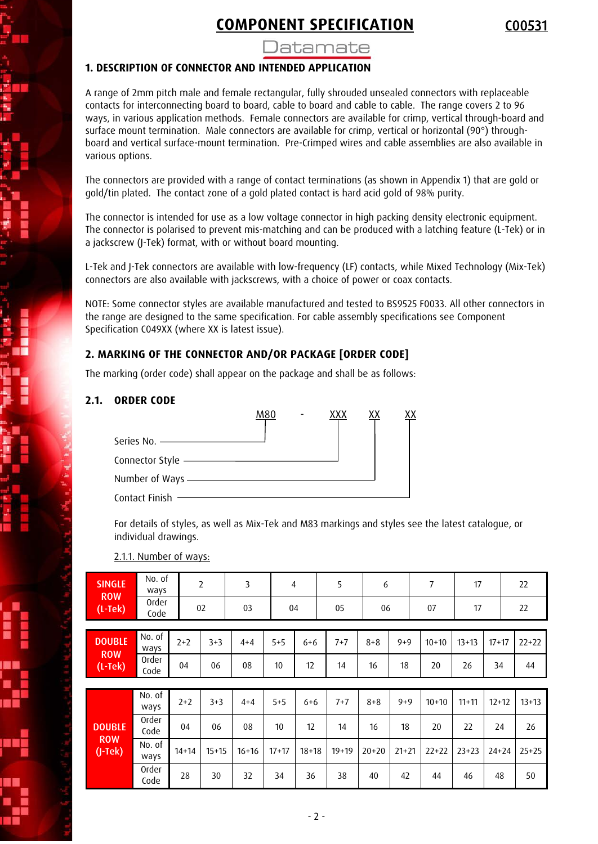

### )atamate

#### **1. DESCRIPTION OF CONNECTOR AND INTENDED APPLICATION**

A range of 2mm pitch male and female rectangular, fully shrouded unsealed connectors with replaceable contacts for interconnecting board to board, cable to board and cable to cable. The range covers 2 to 96 ways, in various application methods. Female connectors are available for crimp, vertical through-board and surface mount termination. Male connectors are available for crimp, vertical or horizontal (90°) throughboard and vertical surface-mount termination. Pre-Crimped wires and cable assemblies are also available in various options.

The connectors are provided with a range of contact terminations (as shown in Appendix 1) that are gold or gold/tin plated. The contact zone of a gold plated contact is hard acid gold of 98% purity.

The connector is intended for use as a low voltage connector in high packing density electronic equipment. The connector is polarised to prevent mis-matching and can be produced with a latching feature (L-Tek) or in a jackscrew (J-Tek) format, with or without board mounting.

L-Tek and J-Tek connectors are available with low-frequency (LF) contacts, while Mixed Technology (Mix-Tek) connectors are also available with jackscrews, with a choice of power or coax contacts.

NOTE: Some connector styles are available manufactured and tested to BS9525 F0033. All other connectors in the range are designed to the same specification. For cable assembly specifications see Component Specification C049XX (where XX is latest issue).

#### **2. MARKING OF THE CONNECTOR AND/OR PACKAGE [ORDER CODE]**

The marking (order code) shall appear on the package and shall be as follows:

#### **2.1. ORDER CODE**

|                                | M80 | ххх | ΧХ |  |
|--------------------------------|-----|-----|----|--|
|                                |     |     |    |  |
| Connector Style —————————      |     |     |    |  |
| Number of Ways ——————————————— |     |     |    |  |
| Contact Finish                 |     |     |    |  |

For details of styles, as well as Mix-Tek and M83 markings and styles see the latest catalogue, or individual drawings.

2.1.1. Number of ways:

| <b>SINGLE</b>               | No. of<br>ways |           | 2       | 3       | 4       |           | 5       | 6       |           | 7       | 17        |           | 22      |
|-----------------------------|----------------|-----------|---------|---------|---------|-----------|---------|---------|-----------|---------|-----------|-----------|---------|
| <b>ROW</b><br>$(L-Tek)$     | Order<br>Code  |           | 02      | 03      | 04      |           | 05      | 06      |           | 07      | 17        |           | 22      |
| <b>DOUBLE</b><br><b>ROW</b> | No. of<br>ways | $2+2$     | $3 + 3$ | $4 + 4$ | $5 + 5$ | $6 + 6$   | $7 + 7$ | $8 + 8$ | $9 + 9$   | $10+10$ | $13+13$   | $17 + 17$ | $22+22$ |
| $(L-Tek)$                   | Order<br>Code  | 04        | 06      | 08      | 10      | 12        | 14      | 16      | 18        | 20      | 26        | 34        | 44      |
|                             |                |           |         |         |         |           |         |         |           |         |           |           |         |
|                             | No. of<br>ways | $2+2$     | $3 + 3$ | $4 + 4$ | $5 + 5$ | $6 + 6$   | $7 + 7$ | $8 + 8$ | $9 + 9$   | $10+10$ | $11+11$   | $12 + 12$ | $13+13$ |
| <b>DOUBLE</b>               | Order<br>Code  | 04        | 06      | 08      | 10      | 12        | 14      | 16      | 18        | 20      | 22        | 24        | 26      |
| <b>ROW</b><br>$(J-Tek)$     | No. of<br>ways | $14 + 14$ | $15+15$ | $16+16$ | $17+17$ | $18 + 18$ | $19+19$ | $20+20$ | $21 + 21$ | $22+22$ | $23 + 23$ | $24 + 24$ | $25+25$ |
|                             | Order<br>Code  | 28        | 30      | 32      | 34      | 36        | 38      | 40      | 42        | 44      | 46        | 48        | 50      |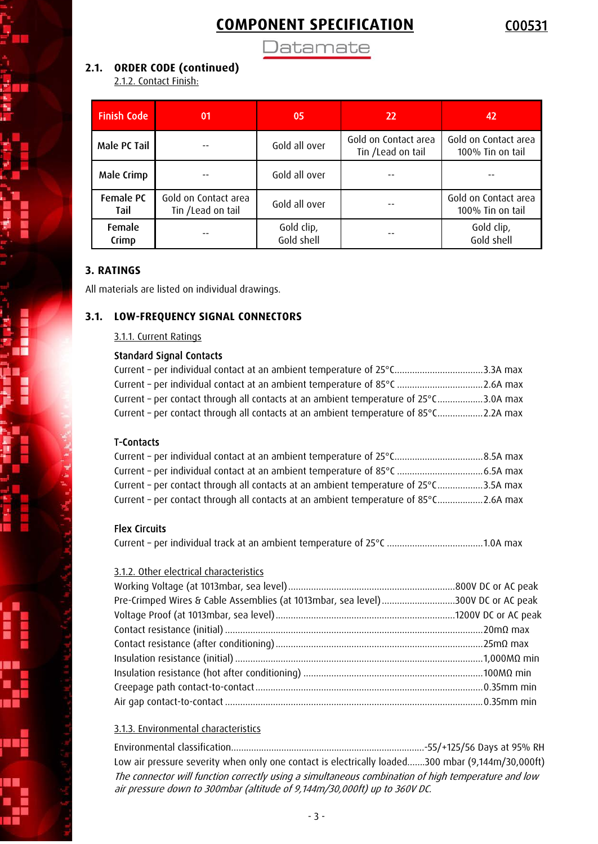**Datamate** 

#### **2.1. ORDER CODE (continued)**

2.1.2. Contact Finish:

| <b>Finish Code</b> | 01                                        | 05                       | 22                                        | 42                                       |
|--------------------|-------------------------------------------|--------------------------|-------------------------------------------|------------------------------------------|
| Male PC Tail       |                                           | Gold all over            | Gold on Contact area<br>Tin /Lead on tail | Gold on Contact area<br>100% Tin on tail |
| Male Crimp         |                                           | Gold all over            |                                           |                                          |
| Female PC<br>Tail  | Gold on Contact area<br>Tin /Lead on tail | Gold all over            |                                           | Gold on Contact area<br>100% Tin on tail |
| Female<br>Crimp    |                                           | Gold clip,<br>Gold shell |                                           | Gold clip,<br>Gold shell                 |

#### **3. RATINGS**

All materials are listed on individual drawings.

#### **3.1. LOW-FREQUENCY SIGNAL CONNECTORS**

3.1.1. Current Ratings

#### Standard Signal Contacts

| Current - per individual contact at an ambient temperature of 25°C3.3A max           |  |
|--------------------------------------------------------------------------------------|--|
| Current - per individual contact at an ambient temperature of 85°C 2.6A max          |  |
| Current - per contact through all contacts at an ambient temperature of 25°C3.0A max |  |
| Current - per contact through all contacts at an ambient temperature of 85°C2.2A max |  |

#### T-Contacts

| Current - per contact through all contacts at an ambient temperature of 25°C3.5A max |  |
|--------------------------------------------------------------------------------------|--|
| Current - per contact through all contacts at an ambient temperature of 85°C2.6A max |  |

#### Flex Circuits

Current – per individual track at an ambient temperature of 25°C ......................................1.0A max

#### 3.1.2. Other electrical characteristics

| Pre-Crimped Wires & Cable Assemblies (at 1013mbar, sea level)300V DC or AC peak |  |
|---------------------------------------------------------------------------------|--|
|                                                                                 |  |
|                                                                                 |  |
|                                                                                 |  |
|                                                                                 |  |
|                                                                                 |  |
|                                                                                 |  |
|                                                                                 |  |

#### 3.1.3. Environmental characteristics

Environmental classification.............................................................................-55/+125/56 Days at 95% RH Low air pressure severity when only one contact is electrically loaded.......300 mbar (9,144m/30,000ft) The connector will function correctly using a simultaneous combination of high temperature and low air pressure down to 300mbar (altitude of 9,144m/30,000ft) up to 360V DC.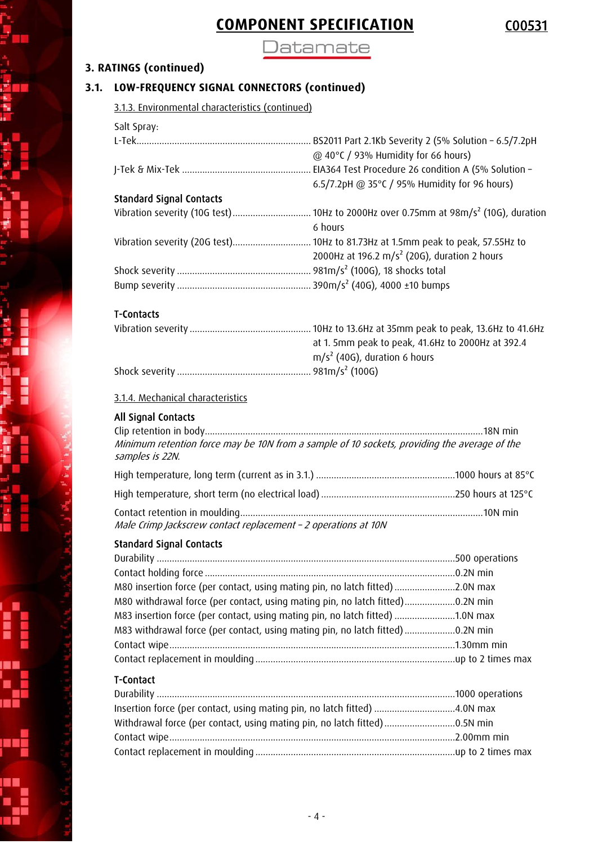**Datamate** 

### **3. RATINGS (continued)**

### **3.1. LOW-FREQUENCY SIGNAL CONNECTORS (continued)**

3.1.3. Environmental characteristics (continued)

| Salt Spray:                     |                                                                                      |
|---------------------------------|--------------------------------------------------------------------------------------|
|                                 | BS2011 Part 2.1Kb Severity 2 (5% Solution - 6.5/7.2pH                                |
|                                 | @ 40°C / 93% Humidity for 66 hours)<br>6.5/7.2pH @ 35°C / 95% Humidity for 96 hours) |
| <b>Standard Signal Contacts</b> |                                                                                      |
| Vibration severity (10G test)   | 10Hz to 2000Hz over 0.75mm at $98m/s^2$ (10G), duration                              |
|                                 | 6 hours                                                                              |
|                                 |                                                                                      |
|                                 | 2000Hz at 196.2 m/s <sup>2</sup> (20G), duration 2 hours                             |
|                                 | 981m/s <sup>2</sup> (100G), 18 shocks total                                          |
|                                 |                                                                                      |
|                                 |                                                                                      |

#### T-Contacts

| at 1. 5mm peak to peak, 41.6Hz to 2000Hz at 392.4 |
|---------------------------------------------------|
| $m/s2$ (40G), duration 6 hours                    |
|                                                   |

#### 3.1.4. Mechanical characteristics

#### All Signal Contacts

| Minimum retention force may be 10N from a sample of 10 sockets, providing the average of the<br>samples is 22N. |  |
|-----------------------------------------------------------------------------------------------------------------|--|
|                                                                                                                 |  |
|                                                                                                                 |  |
| Male Crimp Jackscrew contact replacement - 2 operations at 10N                                                  |  |

### Standard Signal Contacts

| M80 insertion force (per contact, using mating pin, no latch fitted)2.0N max  |  |
|-------------------------------------------------------------------------------|--|
| M80 withdrawal force (per contact, using mating pin, no latch fitted)0.2N min |  |
| M83 insertion force (per contact, using mating pin, no latch fitted) 1.0N max |  |
| M83 withdrawal force (per contact, using mating pin, no latch fitted)0.2N min |  |
|                                                                               |  |
|                                                                               |  |

### T-Contact

| Insertion force (per contact, using mating pin, no latch fitted) 4.0N max |  |
|---------------------------------------------------------------------------|--|
|                                                                           |  |
|                                                                           |  |
|                                                                           |  |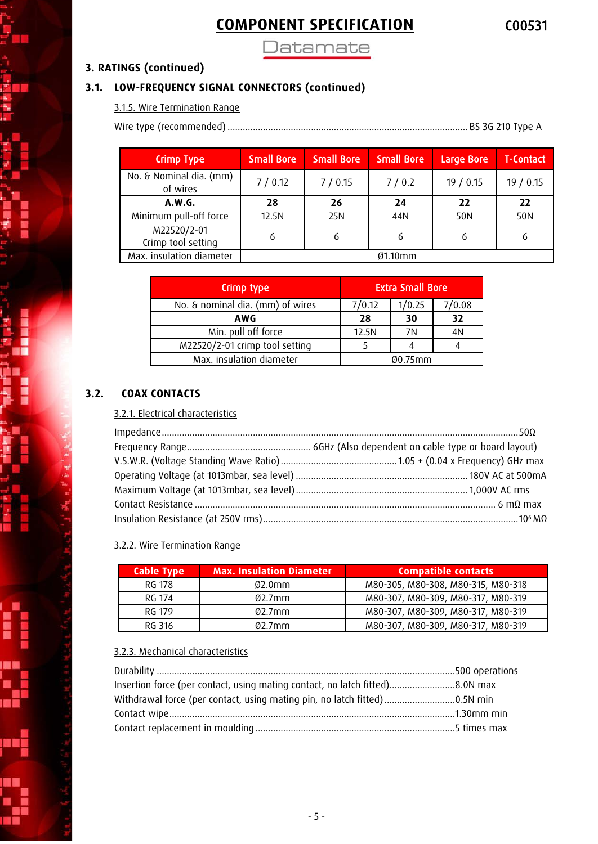**Datamate** 

### **3. RATINGS (continued)**

### **3.1. LOW-FREQUENCY SIGNAL CONNECTORS (continued)**

3.1.5. Wire Termination Range

Wire type (recommended) ............................................................................................... BS 3G 210 Type A

| <b>Crimp Type</b>                   | <b>Small Bore</b> | <b>Small Bore</b> | <b>Small Bore</b> | Large Bore | <b>T-Contact</b> |
|-------------------------------------|-------------------|-------------------|-------------------|------------|------------------|
| No. & Nominal dia. (mm)<br>of wires | 7/0.12            | 7/0.15            | 7/0.2             | 19/0.15    | 19 / 0.15        |
| A.W.G.                              | 28                | 26                | 24                | 22         | 22               |
| Minimum pull-off force              | 12.5N             | 25N               | 44N               | 50N        | 50N              |
| M22520/2-01<br>Crimp tool setting   | 6                 | 6                 | 6                 | 6          | 6                |
| Max. insulation diameter            |                   |                   | Ø1.10mm           |            |                  |

| Crimp type                       | <b>Extra Small Bore</b> |        |        |  |
|----------------------------------|-------------------------|--------|--------|--|
| No. & nominal dia. (mm) of wires | 7/0.12                  | 1/0.25 | 7/0.08 |  |
| AWG                              | 28                      | 30     | 32     |  |
| Min. pull off force              | 12.5N                   | 7N     | 4N     |  |
| M22520/2-01 crimp tool setting   |                         |        |        |  |
| Max. insulation diameter         | $0.75$ mm               |        |        |  |

### **3.2. COAX CONTACTS**

#### 3.2.1. Electrical characteristics

#### 3.2.2. Wire Termination Range

| Cable Type | <b>Max. Insulation Diameter</b> | <b>Compatible contacts</b>         |
|------------|---------------------------------|------------------------------------|
| RG 178     | $02.0$ mm                       | M80-305, M80-308, M80-315, M80-318 |
| RG 174     | $02.7$ mm                       | M80-307, M80-309, M80-317, M80-319 |
| RG 179     | $02.7$ mm                       | M80-307, M80-309, M80-317, M80-319 |
| RG 316     | $02.7$ mm                       | M80-307, M80-309, M80-317, M80-319 |

#### 3.2.3. Mechanical characteristics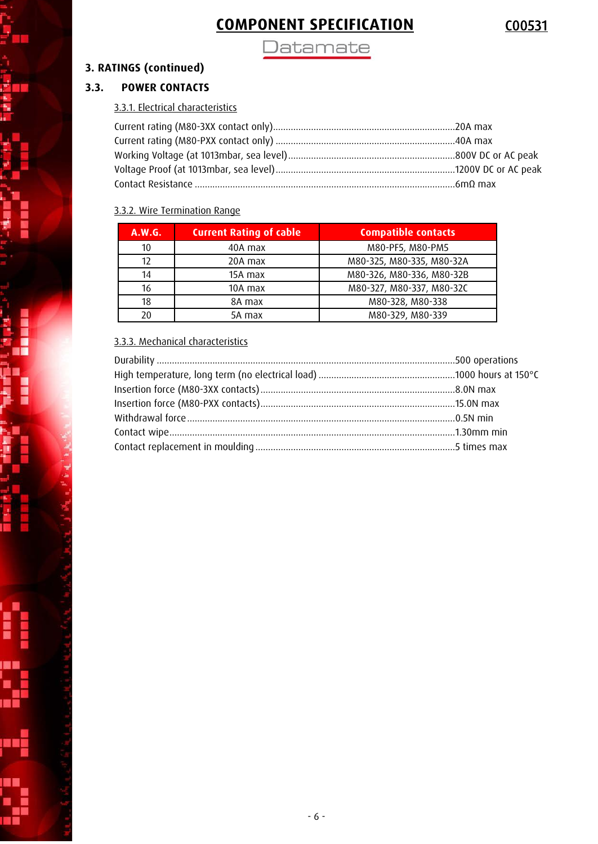Datamate

### **3. RATINGS (continued)**

### **3.3. POWER CONTACTS**

### 3.3.1. Electrical characteristics

#### 3.3.2. Wire Termination Range

| A.W.G. | <b>Current Rating of cable</b> | <b>Compatible contacts</b> |
|--------|--------------------------------|----------------------------|
| 10     | 40A max                        | M80-PF5, M80-PM5           |
| 12     | 20A max                        | M80-325, M80-335, M80-32A  |
| 14     | 15A max                        | M80-326, M80-336, M80-32B  |
| 16     | 10A max                        | M80-327, M80-337, M80-32C  |
| 18     | 8A max                         | M80-328, M80-338           |
| 20     | 5A max                         | M80-329, M80-339           |

#### 3.3.3. Mechanical characteristics

د<br>د د

p.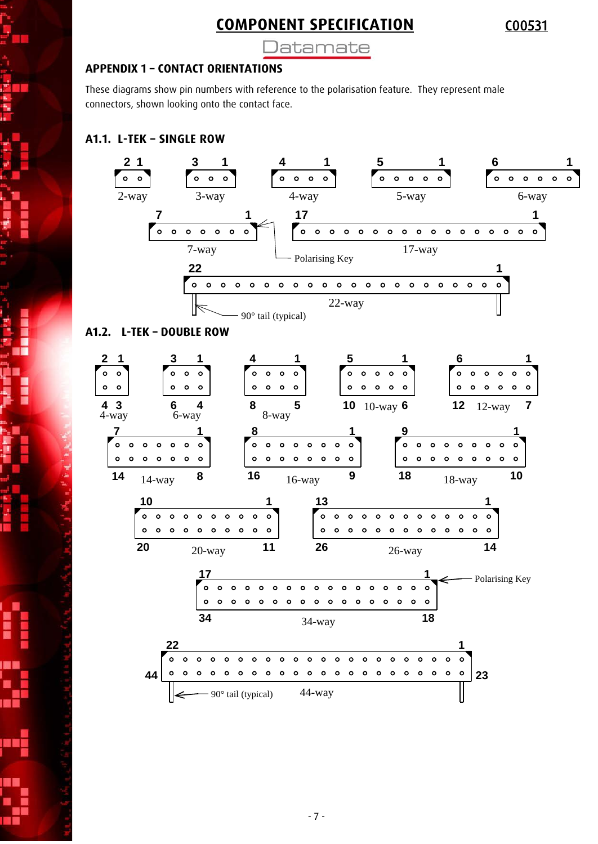Datamate

#### **APPENDIX 1 – CONTACT ORIENTATIONS**

These diagrams show pin numbers with reference to the polarisation feature. They represent male connectors, shown looking onto the contact face.

### **A1.1. L-TEK – SINGLE ROW**

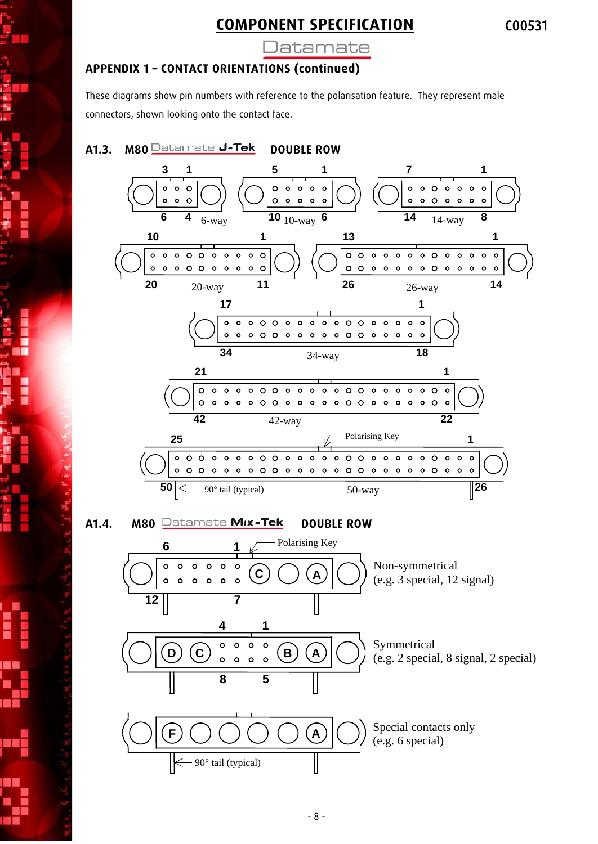Jatamate

### **APPENDIX 1 – CONTACT ORIENTATIONS (continued)**

These diagrams show pin numbers with reference to the polarisation feature. They represent male connectors, shown looking onto the contact face.



#### A1.4. M80 Datamate Mix-Tek **DOUBLE ROW**

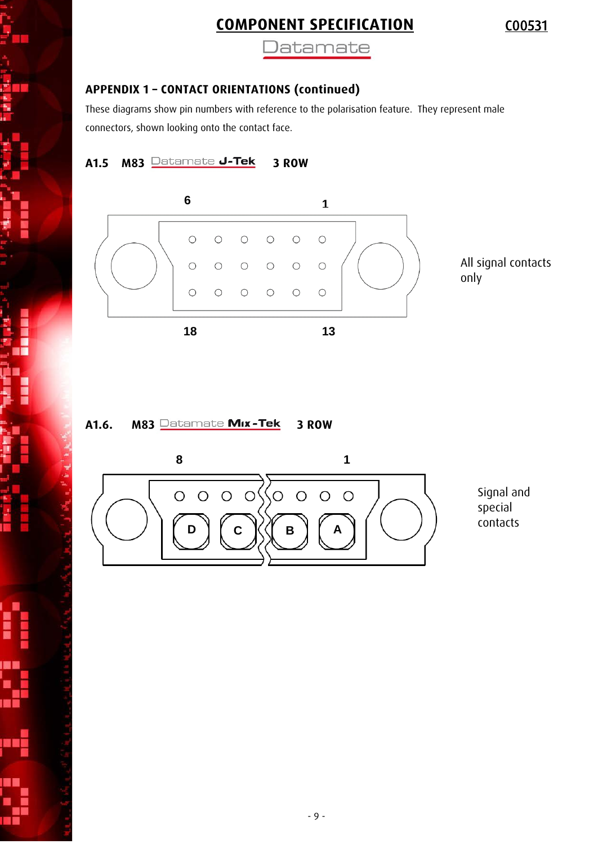**Datamate** 

### **APPENDIX 1 – CONTACT ORIENTATIONS (continued)**

These diagrams show pin numbers with reference to the polarisation feature. They represent male connectors, shown looking onto the contact face.

**A1.5 M83 Datamate J-Tek 3 ROW** 



All signal contacts only

A1.6. M83 **Datamate Mix-Tek 3 ROW** 



Signal and special contacts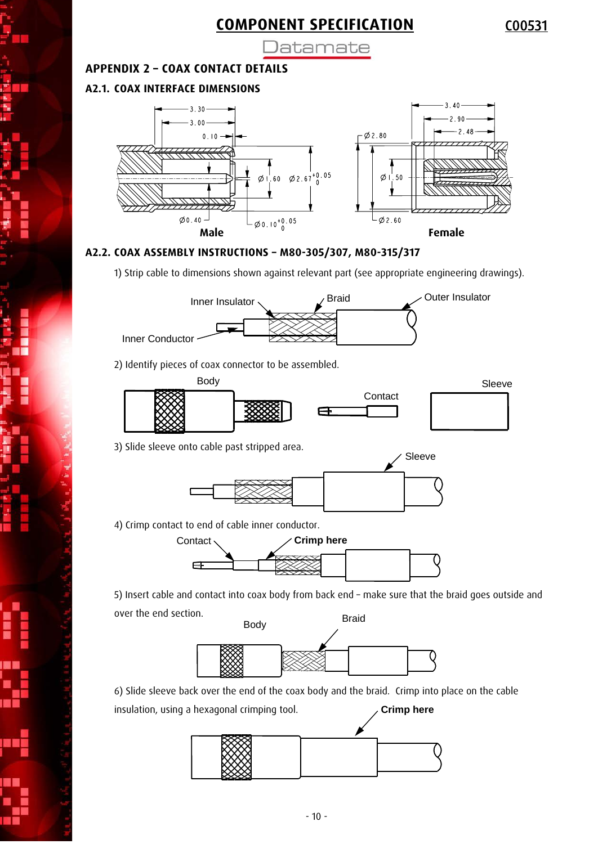)atamate

#### **APPENDIX 2 – COAX CONTACT DETAILS**

#### **A2.1. COAX INTERFACE DIMENSIONS**



#### **A2.2. COAX ASSEMBLY INSTRUCTIONS – M80-305/307, M80-315/317**

1) Strip cable to dimensions shown against relevant part (see appropriate engineering drawings).



2) Identify pieces of coax connector to be assembled.



3) Slide sleeve onto cable past stripped area.



4) Crimp contact to end of cable inner conductor.



5) Insert cable and contact into coax body from back end – make sure that the braid goes outside and over the end section.



6) Slide sleeve back over the end of the coax body and the braid. Crimp into place on the cable

**Crimp here**

insulation, using a hexagonal crimping tool.

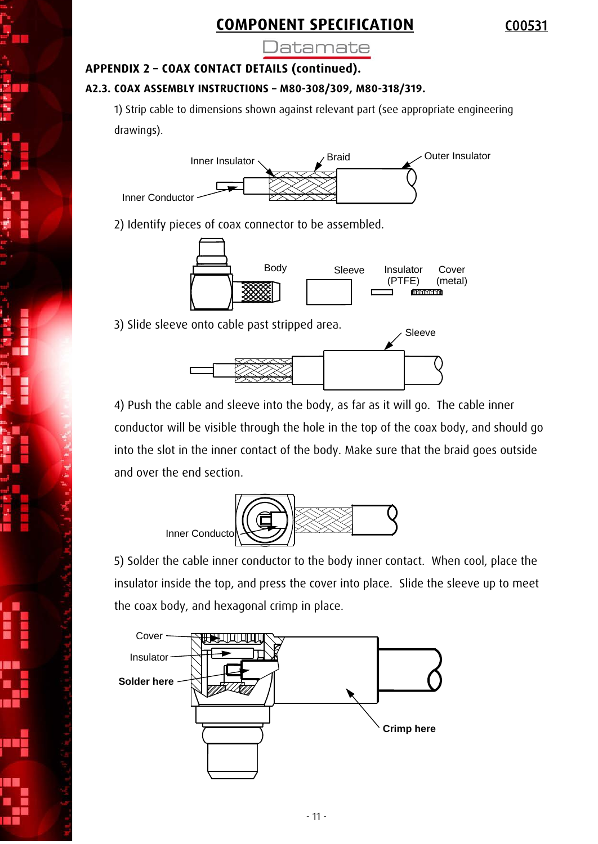Jatamate

#### **APPENDIX 2 – COAX CONTACT DETAILS (continued).**

#### **A2.3. COAX ASSEMBLY INSTRUCTIONS – M80-308/309, M80-318/319.**

1) Strip cable to dimensions shown against relevant part (see appropriate engineering drawings).



2) Identify pieces of coax connector to be assembled.



3) Slide sleeve onto cable past stripped area.



4) Push the cable and sleeve into the body, as far as it will go. The cable inner conductor will be visible through the hole in the top of the coax body, and should go into the slot in the inner contact of the body. Make sure that the braid goes outside and over the end section.



5) Solder the cable inner conductor to the body inner contact. When cool, place the insulator inside the top, and press the cover into place. Slide the sleeve up to meet the coax body, and hexagonal crimp in place.

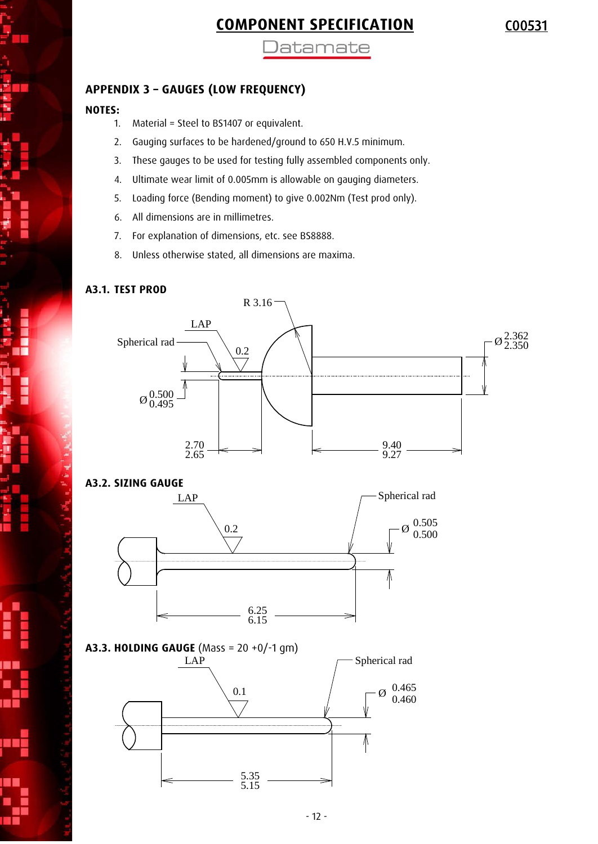**Jatamate** 

### **APPENDIX 3 – GAUGES (LOW FREQUENCY)**

#### **NOTES:**

- 1. Material = Steel to BS1407 or equivalent.
- 2. Gauging surfaces to be hardened/ground to 650 H.V.5 minimum.
- 3. These gauges to be used for testing fully assembled components only.
- 4. Ultimate wear limit of 0.005mm is allowable on gauging diameters.
- 5. Loading force (Bending moment) to give 0.002Nm (Test prod only).
- 6. All dimensions are in millimetres.
- 7. For explanation of dimensions, etc. see BS8888.
- 8. Unless otherwise stated, all dimensions are maxima.

#### **A3.1. TEST PROD**

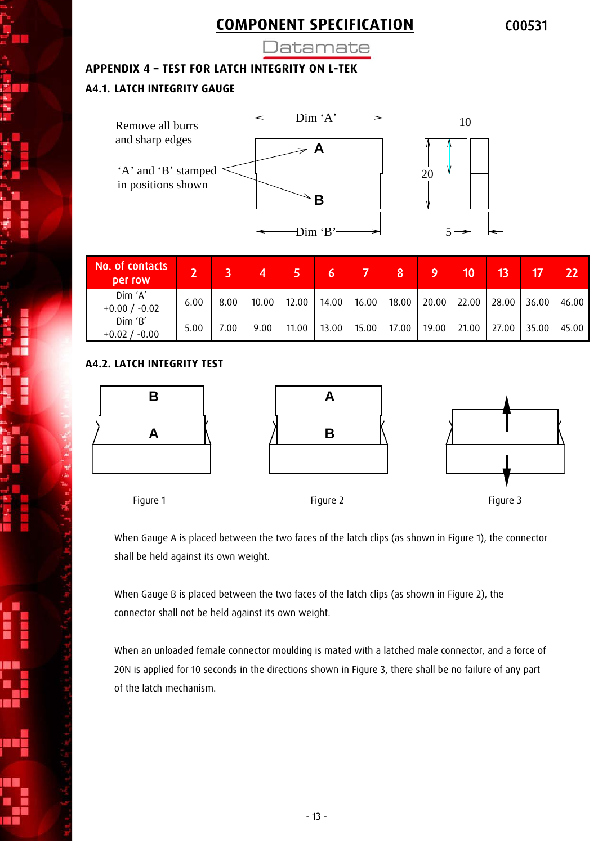**Jatamate** 

#### **APPENDIX 4 – TEST FOR LATCH INTEGRITY ON L-TEK**

#### **A4.1. LATCH INTEGRITY GAUGE**



| No. of contacts<br><b>Der row</b> | D.   |      | 4     |       |       |       |       | ι9    | 10    |       |       | 22    |
|-----------------------------------|------|------|-------|-------|-------|-------|-------|-------|-------|-------|-------|-------|
| Dim 'A'<br>$+0.00 / -0.02$        | 6.00 | 8.00 | 10.00 | 12.00 | 14.00 | 16.00 | 18.00 | 20.00 | 22.00 | 28.00 | 36.00 | 46.00 |
| Dim 'B'<br>$+0.02/$<br>$-0.00$    | 5.00 | 7.00 | 9.00  | 11.00 | 13.00 | 15.00 | 17.00 | 19.00 | 21.00 | 27.00 | 35.00 | 45.00 |

#### **A4.2. LATCH INTEGRITY TEST**







Figure 1 Figure 2 Figure 3

When Gauge A is placed between the two faces of the latch clips (as shown in Figure 1), the connector shall be held against its own weight.

When Gauge B is placed between the two faces of the latch clips (as shown in Figure 2), the connector shall not be held against its own weight.

When an unloaded female connector moulding is mated with a latched male connector, and a force of 20N is applied for 10 seconds in the directions shown in Figure 3, there shall be no failure of any part of the latch mechanism.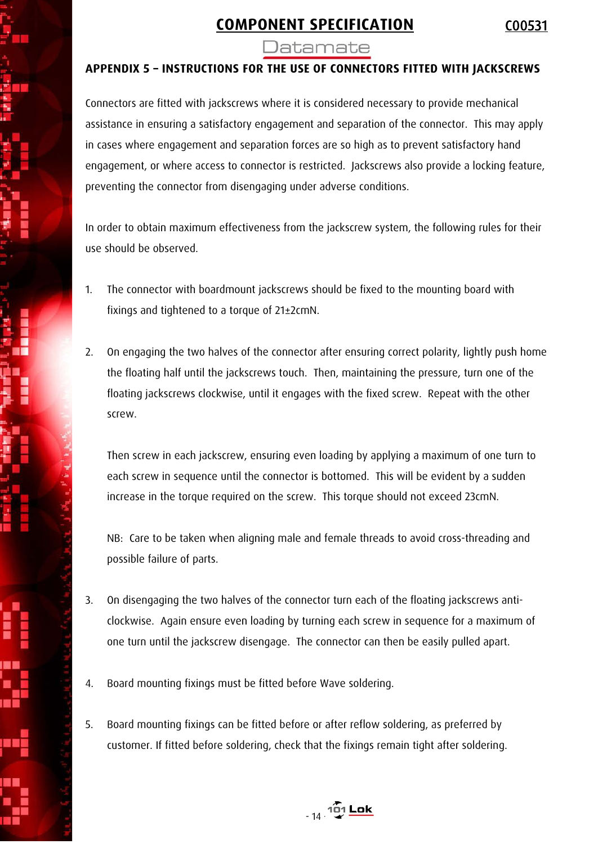Jatamate

### **APPENDIX 5 – INSTRUCTIONS FOR THE USE OF CONNECTORS FITTED WITH JACKSCREWS**

Connectors are fitted with jackscrews where it is considered necessary to provide mechanical assistance in ensuring a satisfactory engagement and separation of the connector. This may apply in cases where engagement and separation forces are so high as to prevent satisfactory hand engagement, or where access to connector is restricted. Jackscrews also provide a locking feature, preventing the connector from disengaging under adverse conditions.

In order to obtain maximum effectiveness from the jackscrew system, the following rules for their use should be observed.

- 1. The connector with boardmount jackscrews should be fixed to the mounting board with fixings and tightened to a torque of 21±2cmN.
- 2. On engaging the two halves of the connector after ensuring correct polarity, lightly push home the floating half until the jackscrews touch. Then, maintaining the pressure, turn one of the floating jackscrews clockwise, until it engages with the fixed screw. Repeat with the other screw.

Then screw in each jackscrew, ensuring even loading by applying a maximum of one turn to each screw in sequence until the connector is bottomed. This will be evident by a sudden increase in the torque required on the screw. This torque should not exceed 23cmN.

NB: Care to be taken when aligning male and female threads to avoid cross-threading and possible failure of parts.

- 3. On disengaging the two halves of the connector turn each of the floating jackscrews anticlockwise. Again ensure even loading by turning each screw in sequence for a maximum of one turn until the jackscrew disengage. The connector can then be easily pulled apart.
- 4. Board mounting fixings must be fitted before Wave soldering.
- 5. Board mounting fixings can be fitted before or after reflow soldering, as preferred by customer. If fitted before soldering, check that the fixings remain tight after soldering.